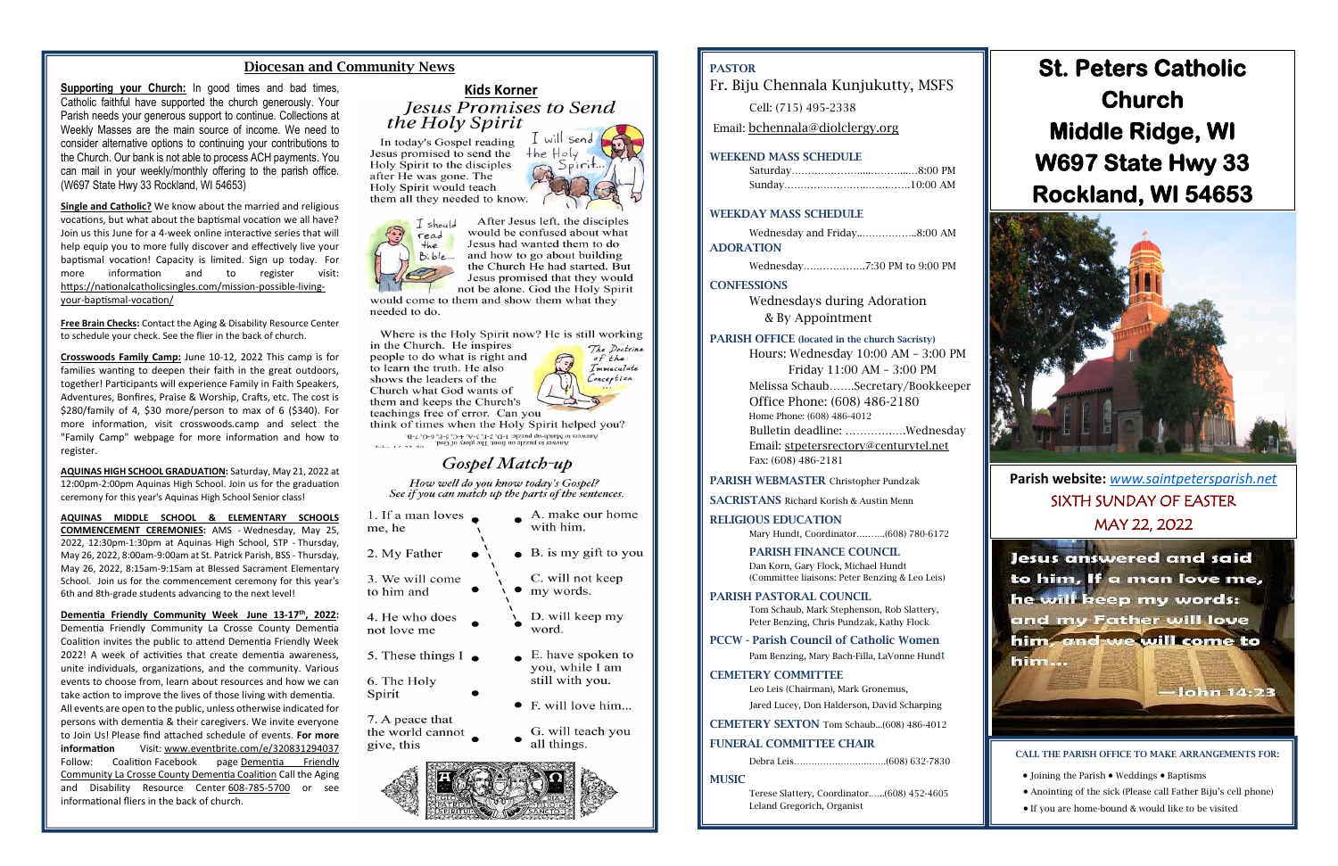### Diocesan and Community News

**Supporting your Church:** In good times and bad times,<br>
Catholic faithful have supported the church generously. Your<br>
Parish needs your generous support to continue. Collections at<br>
Wookly Masses are the main source of inc Catholic faithful have supported the church generously. Your Parish needs your generous support to continue. Collections at Weekly Masses are the main source of income. We need to consider alternative options to continuing your contributions to the Church. Our bank is not able to process ACH payments. You can mail in your weekly/monthly offering to the parish office. (W697 State Hwy 33 Rockland, WI 54653)

**Single and Catholic?** We know about the married and religious vocations, but what about the baptismal vocation we all have? Join us this June for a 4-week online interactive series that will help equip you to more fully discover and effectively live your baptismal vocation! Capacity is limited. Sign up today. For more information and to register visit: [https://nationalcatholicsingles.com/mission-possible-living](http://nationalcatholicsinglesconference.msnd26.com/tracking/lc/a6a27bc7-fdbe-4815-8cdf-51b2bb0d558f/74ccc206-6e21-4458-88ea-4c2b19e427e8/de57a294-abc2-4bdf-b95a-d19c870cc99e/)[your-baptismal-vocation/](http://nationalcatholicsinglesconference.msnd26.com/tracking/lc/a6a27bc7-fdbe-4815-8cdf-51b2bb0d558f/74ccc206-6e21-4458-88ea-4c2b19e427e8/de57a294-abc2-4bdf-b95a-d19c870cc99e/)

**Free Brain Checks:** Contact the Aging & Disability Resource Center to schedule your check. See the flier in the back of church.

**Crosswoods Family Camp:** June 10-12, 2022 This camp is for families wanting to deepen their faith in the great outdoors, together! Participants will experience Family in Faith Speakers, Adventures, Bonfires, Praise & Worship, Crafts, etc. The cost is \$280/family of 4, \$30 more/person to max of 6 (\$340). For more information, visit crosswoods.camp and select the "Family Camp" webpage for more information and how to register.

**AQUINAS HIGH SCHOOL GRADUATION:** Saturday, May 21, 2022 at 12:00pm-2:00pm Aquinas High School. Join us for the graduation ceremony for this year's Aquinas High School Senior class!

**AQUINAS MIDDLE SCHOOL & ELEMENTARY SCHOOLS COMMENCEMENT CEREMONIES:** AMS - Wednesday, May 25, 2022, 12:30pm-1:30pm at Aquinas High School, STP - Thursday, May 26, 2022, 8:00am-9:00am at St. Patrick Parish, BSS - Thursday, May 26, 2022, 8:15am-9:15am at Blessed Sacrament Elementary School. Join us for the commencement ceremony for this year's 6th and 8th-grade students advancing to the next level!

**Dementia Friendly Community Week June 13-17th, 2022:** Dementia Friendly Community La Crosse County Dementia Coalition invites the public to attend Dementia Friendly Week 2022! A week of activities that create dementia awareness, unite individuals, organizations, and the community. Various events to choose from, learn about resources and how we can take action to improve the lives of those living with dementia. All events are open to the public, unless otherwise indicated for persons with dementia & their caregivers. We invite everyone to Join Us! Please find attached schedule of events. **For more information** Visit: [www.eventbrite.com/e/320831294037](http://www.eventbrite.com/e/320831294037) Follow: Coalition Facebook page Dementia Friendly [Community La Crosse County Dementia Coalition](http://www.facebook.com/Dementia-Friendly-Community-La-Crosse-County-Dementia-Coalition-109029630543747) Call the Aging and Disability Resource Center [608-785-5700](callto:608-785-5700) or see informational fliers in the back of church.

In today's Gospel reading Jesus promised to send the Holy Spirit to the disciples after He was gone. The Holy Spirit would teach them all they needed to know.

I will send  $the Holy$ 

of the

Immaculate Conception



After Jesus left, the disciples would be confused about what Jesus had wanted them to do and how to go about building the Church He had started. But Jesus promised that they would not be alone. God the Holy Spirit

would come to them and show them what they needed to do.

Where is the Holy Spirit now? He is still working in the Church. He inspires The Doctrine

people to do what is right and to learn the truth. He also shows the leaders of the Church what God wants of them and keeps the Church's teachings free of error. Can you

think of times when the Holy Spirit helped you?

The 14.23 20<br>The particle of the state of the state of the state of the state of the state of the state of the state of the state of the state of the state of the state of the state of the state of the state of the state o

# Gospel Match-up

How well do you know today's Gospel? See if you can match up the parts of the sentences.

| 1. If a man loves<br>me, he                       | A. make our home<br>with him.        |
|---------------------------------------------------|--------------------------------------|
| 2. My Father                                      | $\bullet$ B. is my gift to you       |
| 3. We will come<br>to him and                     | C. will not keep<br>my words.        |
| 4. He who does<br>not love me                     | D. will keep my<br>word.             |
| 5. These things $I_{\bullet}$                     | E. have spoken to<br>you, while I am |
| 6. The Holy                                       | still with you.                      |
| Spirit                                            | E. will love him                     |
| 7. A peace that<br>the world cannot<br>give, this | G. will teach you<br>all things.     |
|                                                   |                                      |

# PASTOR

Fr. Biju Chennala Kunjukutty, MSFS

Cell: (715) 495-2338

Email: [bchennala@diolclergy.org](mailto:bchennala@diolclergy.org)

#### WEEKEND MASS SCHEDULE

#### WEEKDAY MASS SCHEDULE

Wednesday and Friday..……………..8:00 AM ADORATION

Wednesday……………….7:30 PM to 9:00 PM

#### **CONFESSIONS**

Wednesdays during Adoration & By Appointment

#### PARISH OFFICE (located in the church Sacristy)

Hours: Wednesday 10:00 AM – 3:00 PM Friday 11:00 AM – 3:00 PM Melissa Schaub…….Secretary/Bookkeeper Office Phone: (608) 486-2180 Home Phone: (608) 486-4012 Bulletin deadline: ………….….Wednesday Email: [stpetersrectory@centurytel.net](mailto:stpetersrectory@centurytel.net) Fax: (608) 486-2181

#### PARISH WEBMASTER Christopher Pundzak

SACRISTANS Richard Korish & Austin Menn

#### RELIGIOUS EDUCATION

Mary Hundt, Coordinator……….(608) 780-6172

#### PARISH FINANCE COUNCIL

Dan Korn, Gary Flock, Michael Hundt (Committee liaisons: Peter Benzing & Leo Leis)

#### PARISH PASTORAL COUNCIL

Tom Schaub, Mark Stephenson, Rob Slattery, Peter Benzing, Chris Pundzak, Kathy Flock

#### PCCW - Parish Council of Catholic Women

Pam Benzing, Mary Bach-Filla, LaVonne Hundt

#### CEMETERY COMMITTEE

Leo Leis (Chairman), Mark Gronemus,

Jared Lucey, Don Halderson, David Scharping

CEMETERY SEXTON Tom Schaub...(608) 486-4012

#### FUNERAL COMMITTEE CHAIR

Debra Leis…………………….…….(608) 632-7830

**MUSIC** 

Terese Slattery, Coordinator.…..(608) 452-4605 Leland Gregorich, Organist

**Parish website:** *[www.saintpetersparish.net](http://www.saintpetersparish.net/)* SIXTH SUNDAY OF EASTER MAY 22, 2022



# **St. Peters Catholic Church Middle Ridge, WI W697 State Hwy 33 Rockland, WI 54653**



CALL THE PARISH OFFICE TO MAKE ARRANGEMENTS FOR:

- Joining the Parish Weddings Baptisms
- Anointing of the sick (Please call Father Biju's cell phone)
- If you are home-bound & would like to be visited